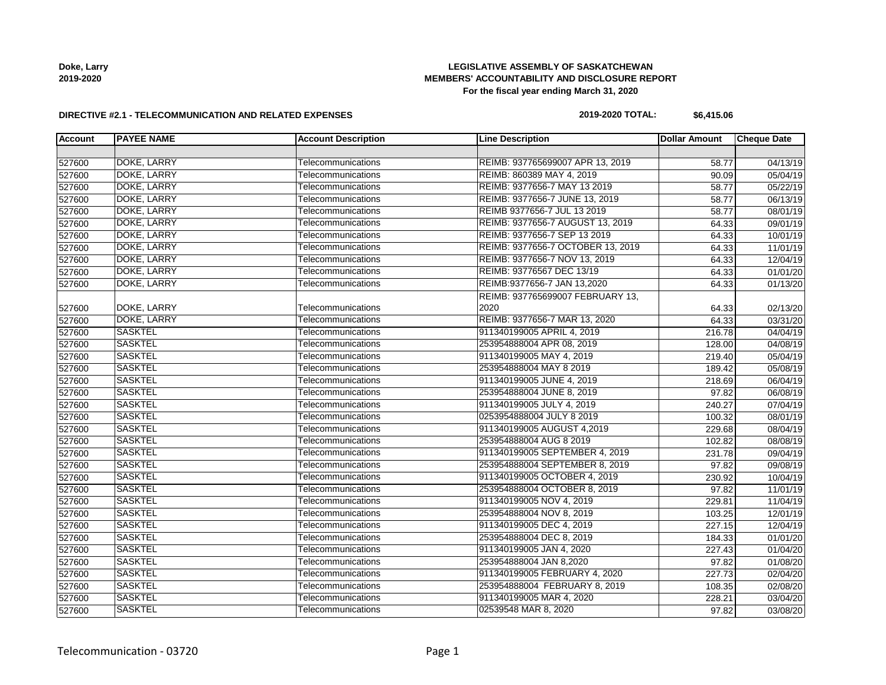**Doke, Larry 2019-2020**

## **LEGISLATIVE ASSEMBLY OF SASKATCHEWAN MEMBERS' ACCOUNTABILITY AND DISCLOSURE REPORT For the fiscal year ending March 31, 2020**

#### **DIRECTIVE #2.1 - TELECOMMUNICATION AND RELATED EXPENSES**

## **2019-2020 TOTAL: \$6,415.06**

| <b>Account</b> | <b>PAYEE NAME</b> | <b>Account Description</b> | <b>Line Description</b>           | <b>Dollar Amount</b> | <b>Cheque Date</b> |
|----------------|-------------------|----------------------------|-----------------------------------|----------------------|--------------------|
|                |                   |                            |                                   |                      |                    |
| 527600         | DOKE, LARRY       | Telecommunications         | REIMB: 937765699007 APR 13, 2019  | 58.77                | 04/13/19           |
| 527600         | DOKE, LARRY       | Telecommunications         | REIMB: 860389 MAY 4, 2019         | 90.09                | 05/04/19           |
| 527600         | DOKE, LARRY       | Telecommunications         | REIMB: 9377656-7 MAY 13 2019      | 58.77                | 05/22/19           |
| 527600         | DOKE, LARRY       | Telecommunications         | REIMB: 9377656-7 JUNE 13, 2019    | 58.77                | 06/13/19           |
| 527600         | DOKE, LARRY       | Telecommunications         | REIMB 9377656-7 JUL 13 2019       | 58.77                | 08/01/19           |
| 527600         | DOKE, LARRY       | Telecommunications         | REIMB: 9377656-7 AUGUST 13, 2019  | 64.33                | 09/01/19           |
| 527600         | DOKE, LARRY       | Telecommunications         | REIMB: 9377656-7 SEP 13 2019      | 64.33                | 10/01/19           |
| 527600         | DOKE, LARRY       | Telecommunications         | REIMB: 9377656-7 OCTOBER 13, 2019 | 64.33                | 11/01/19           |
| 527600         | DOKE, LARRY       | Telecommunications         | REIMB: 9377656-7 NOV 13, 2019     | 64.33                | 12/04/19           |
| 527600         | DOKE, LARRY       | Telecommunications         | REIMB: 93776567 DEC 13/19         | 64.33                | 01/01/20           |
| 527600         | DOKE, LARRY       | Telecommunications         | REIMB:9377656-7 JAN 13,2020       | 64.33                | 01/13/20           |
|                |                   |                            | REIMB: 937765699007 FEBRUARY 13,  |                      |                    |
| 527600         | DOKE, LARRY       | Telecommunications         | 2020                              | 64.33                | 02/13/20           |
| 527600         | DOKE, LARRY       | Telecommunications         | REIMB: 9377656-7 MAR 13, 2020     | 64.33                | 03/31/20           |
| 527600         | <b>SASKTEL</b>    | Telecommunications         | 911340199005 APRIL 4, 2019        | 216.78               | 04/04/19           |
| 527600         | <b>SASKTEL</b>    | Telecommunications         | 253954888004 APR 08, 2019         | 128.00               | 04/08/19           |
| 527600         | <b>SASKTEL</b>    | Telecommunications         | 911340199005 MAY 4, 2019          | 219.40               | 05/04/19           |
| 527600         | <b>SASKTEL</b>    | Telecommunications         | 253954888004 MAY 8 2019           | 189.42               | 05/08/19           |
| 527600         | <b>SASKTEL</b>    | Telecommunications         | 911340199005 JUNE 4, 2019         | 218.69               | 06/04/19           |
| 527600         | <b>SASKTEL</b>    | Telecommunications         | 253954888004 JUNE 8, 2019         | 97.82                | 06/08/19           |
| 527600         | <b>SASKTEL</b>    | Telecommunications         | 911340199005 JULY 4, 2019         | 240.27               | 07/04/19           |
| 527600         | <b>SASKTEL</b>    | Telecommunications         | 0253954888004 JULY 8 2019         | 100.32               | 08/01/19           |
| 527600         | <b>SASKTEL</b>    | Telecommunications         | 911340199005 AUGUST 4,2019        | 229.68               | 08/04/19           |
| 527600         | <b>SASKTEL</b>    | Telecommunications         | 253954888004 AUG 8 2019           | 102.82               | 08/08/19           |
| 527600         | <b>SASKTEL</b>    | Telecommunications         | 911340199005 SEPTEMBER 4, 2019    | 231.78               | 09/04/19           |
| 527600         | <b>SASKTEL</b>    | Telecommunications         | 253954888004 SEPTEMBER 8, 2019    | 97.82                | 09/08/19           |
| 527600         | <b>SASKTEL</b>    | Telecommunications         | 911340199005 OCTOBER 4, 2019      | 230.92               | 10/04/19           |
| 527600         | <b>SASKTEL</b>    | Telecommunications         | 253954888004 OCTOBER 8, 2019      | 97.82                | 11/01/19           |
| 527600         | <b>SASKTEL</b>    | Telecommunications         | 911340199005 NOV 4, 2019          | 229.81               | 11/04/19           |
| 527600         | <b>SASKTEL</b>    | Telecommunications         | 253954888004 NOV 8, 2019          | 103.25               | 12/01/19           |
| 527600         | <b>SASKTEL</b>    | Telecommunications         | 911340199005 DEC 4, 2019          | 227.15               | 12/04/19           |
| 527600         | <b>SASKTEL</b>    | Telecommunications         | 253954888004 DEC 8, 2019          | 184.33               | 01/01/20           |
| 527600         | <b>SASKTEL</b>    | Telecommunications         | 911340199005 JAN 4, 2020          | 227.43               | 01/04/20           |
| 527600         | <b>SASKTEL</b>    | Telecommunications         | 253954888004 JAN 8,2020           | 97.82                | 01/08/20           |
| 527600         | <b>SASKTEL</b>    | Telecommunications         | 911340199005 FEBRUARY 4, 2020     | 227.73               | 02/04/20           |
| 527600         | <b>SASKTEL</b>    | Telecommunications         | 253954888004 FEBRUARY 8, 2019     | 108.35               | 02/08/20           |
| 527600         | <b>SASKTEL</b>    | Telecommunications         | 911340199005 MAR 4, 2020          | 228.21               | 03/04/20           |
| 527600         | <b>SASKTEL</b>    | Telecommunications         | 02539548 MAR 8, 2020              | 97.82                | 03/08/20           |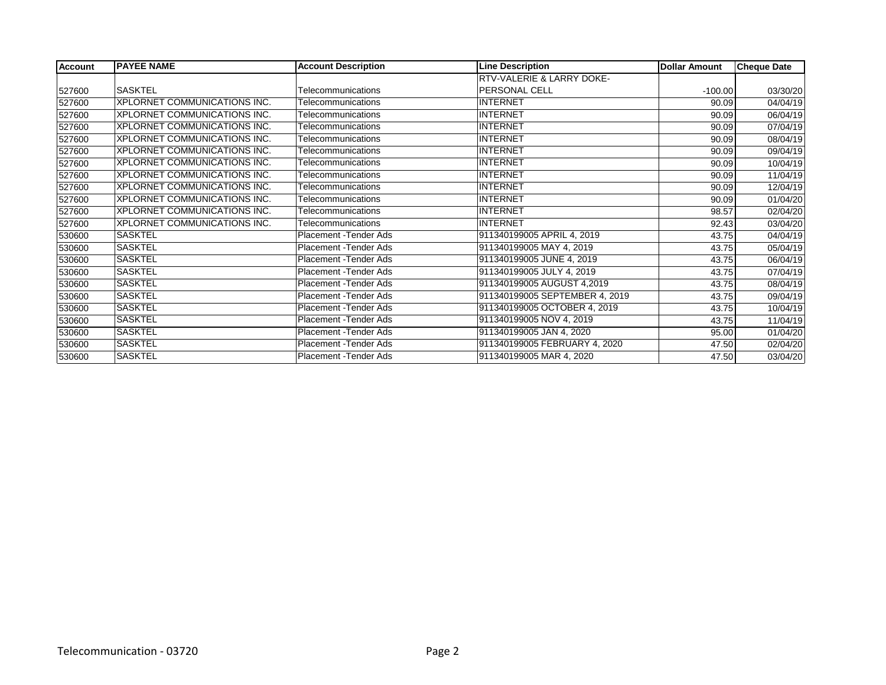| <b>Account</b> | <b>PAYEE NAME</b>            | <b>Account Description</b> | <b>Line Description</b>        | <b>Dollar Amount</b> | <b>Cheque Date</b> |
|----------------|------------------------------|----------------------------|--------------------------------|----------------------|--------------------|
|                |                              |                            | RTV-VALERIE & LARRY DOKE-      |                      |                    |
| 527600         | ISASKTEL                     | Telecommunications         | <b>IPERSONAL CELL</b>          | $-100.00$            | 03/30/20           |
| 527600         | XPLORNET COMMUNICATIONS INC. | Telecommunications         | <b>INTERNET</b>                | 90.09                | 04/04/19           |
| 527600         | XPLORNET COMMUNICATIONS INC. | Telecommunications         | <b>INTERNET</b>                | 90.09                | 06/04/19           |
| 527600         | XPLORNET COMMUNICATIONS INC. | Telecommunications         | <b>INTERNET</b>                | 90.09                | 07/04/19           |
| 527600         | XPLORNET COMMUNICATIONS INC. | Telecommunications         | INTERNET                       | 90.09                | 08/04/19           |
| 527600         | XPLORNET COMMUNICATIONS INC. | Telecommunications         | <b>INTERNET</b>                | 90.09                | 09/04/19           |
| 527600         | XPLORNET COMMUNICATIONS INC. | Telecommunications         | INTERNET                       | 90.09                | 10/04/19           |
| 527600         | XPLORNET COMMUNICATIONS INC. | Telecommunications         | INTERNET                       | 90.09                | 11/04/19           |
| 527600         | XPLORNET COMMUNICATIONS INC. | Telecommunications         | INTERNET                       | 90.09                | 12/04/19           |
| 527600         | XPLORNET COMMUNICATIONS INC. | Telecommunications         | <b>INTERNET</b>                | 90.09                | 01/04/20           |
| 527600         | XPLORNET COMMUNICATIONS INC. | Telecommunications         | INTERNET                       | 98.57                | 02/04/20           |
| 527600         | XPLORNET COMMUNICATIONS INC. | Telecommunications         | INTERNET                       | 92.43                | 03/04/20           |
| 530600         | <b>SASKTEL</b>               | Placement - Tender Ads     | 911340199005 APRIL 4, 2019     | 43.75                | 04/04/19           |
| 530600         | <b>SASKTEL</b>               | Placement - Tender Ads     | 911340199005 MAY 4, 2019       | 43.75                | 05/04/19           |
| 530600         | <b>SASKTEL</b>               | Placement - Tender Ads     | 911340199005 JUNE 4, 2019      | 43.75                | 06/04/19           |
| 530600         | <b>SASKTEL</b>               | Placement - Tender Ads     | 911340199005 JULY 4, 2019      | 43.75                | 07/04/19           |
| 530600         | <b>SASKTEL</b>               | Placement - Tender Ads     | 911340199005 AUGUST 4,2019     | 43.75                | 08/04/19           |
| 530600         | SASKTEL                      | Placement - Tender Ads     | 911340199005 SEPTEMBER 4, 2019 | 43.75                | 09/04/19           |
| 530600         | <b>SASKTEL</b>               | Placement - Tender Ads     | 911340199005 OCTOBER 4, 2019   | 43.75                | 10/04/19           |
| 530600         | SASKTEL                      | Placement - Tender Ads     | 911340199005 NOV 4, 2019       | 43.75                | 11/04/19           |
| 530600         | <b>SASKTEL</b>               | Placement - Tender Ads     | 911340199005 JAN 4, 2020       | 95.00                | 01/04/20           |
| 530600         | SASKTEL                      | Placement - Tender Ads     | 911340199005 FEBRUARY 4, 2020  | 47.50                | 02/04/20           |
| 530600         | SASKTEL                      | Placement - Tender Ads     | 911340199005 MAR 4, 2020       | 47.50                | 03/04/20           |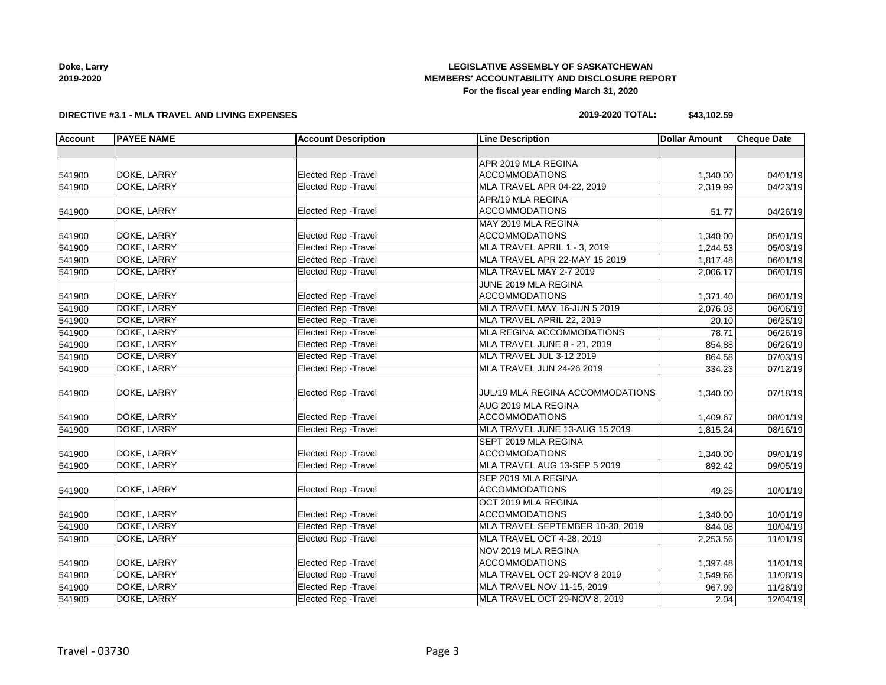| Doke, Larry |
|-------------|
| 2019-2020   |

## **LEGISLATIVE ASSEMBLY OF SASKATCHEWAN MEMBERS' ACCOUNTABILITY AND DISCLOSURE REPORT For the fiscal year ending March 31, 2020**

#### **DIRECTIVE #3.1 - MLA TRAVEL AND LIVING EXPENSES**

## **2019-2020 TOTAL: \$43,102.59**

| <b>Account</b> | <b>PAYEE NAME</b>  | <b>Account Description</b>  | <b>Line Description</b>          | <b>Dollar Amount</b> | <b>Cheque Date</b> |
|----------------|--------------------|-----------------------------|----------------------------------|----------------------|--------------------|
|                |                    |                             |                                  |                      |                    |
|                |                    |                             | APR 2019 MLA REGINA              |                      |                    |
| 541900         | DOKE, LARRY        | Elected Rep - Travel        | <b>ACCOMMODATIONS</b>            | 1,340.00             | 04/01/19           |
| 541900         | <b>DOKE, LARRY</b> | <b>Elected Rep - Travel</b> | MLA TRAVEL APR 04-22, 2019       | 2,319.99             | 04/23/19           |
|                |                    |                             | APR/19 MLA REGINA                |                      |                    |
| 541900         | DOKE, LARRY        | Elected Rep - Travel        | <b>ACCOMMODATIONS</b>            | 51.77                | 04/26/19           |
|                |                    |                             | MAY 2019 MLA REGINA              |                      |                    |
| 541900         | DOKE, LARRY        | Elected Rep - Travel        | <b>ACCOMMODATIONS</b>            | 1,340.00             | 05/01/19           |
| 541900         | DOKE, LARRY        | <b>Elected Rep - Travel</b> | MLA TRAVEL APRIL 1 - 3, 2019     | 1,244.53             | 05/03/19           |
| 541900         | DOKE, LARRY        | <b>Elected Rep - Travel</b> | MLA TRAVEL APR 22-MAY 15 2019    | 1,817.48             | 06/01/19           |
| 541900         | DOKE, LARRY        | <b>Elected Rep - Travel</b> | MLA TRAVEL MAY 2-7 2019          | 2,006.17             | 06/01/19           |
|                |                    |                             | JUNE 2019 MLA REGINA             |                      |                    |
| 541900         | DOKE, LARRY        | Elected Rep - Travel        | <b>ACCOMMODATIONS</b>            | 1,371.40             | 06/01/19           |
| 541900         | DOKE, LARRY        | <b>Elected Rep - Travel</b> | MLA TRAVEL MAY 16-JUN 5 2019     | 2,076.03             | 06/06/19           |
| 541900         | DOKE, LARRY        | <b>Elected Rep - Travel</b> | MLA TRAVEL APRIL 22, 2019        | 20.10                | 06/25/19           |
| 541900         | <b>DOKE, LARRY</b> | <b>Elected Rep - Travel</b> | MLA REGINA ACCOMMODATIONS        | 78.71                | 06/26/19           |
| 541900         | DOKE, LARRY        | <b>Elected Rep - Travel</b> | MLA TRAVEL JUNE 8 - 21, 2019     | 854.88               | 06/26/19           |
| 541900         | DOKE, LARRY        | <b>Elected Rep - Travel</b> | MLA TRAVEL JUL 3-12 2019         | 864.58               | 07/03/19           |
| 541900         | DOKE, LARRY        | <b>Elected Rep - Travel</b> | MLA TRAVEL JUN 24-26 2019        | 334.23               | 07/12/19           |
| 541900         | DOKE, LARRY        | Elected Rep - Travel        | JUL/19 MLA REGINA ACCOMMODATIONS | 1,340.00             | 07/18/19           |
|                |                    |                             | AUG 2019 MLA REGINA              |                      |                    |
| 541900         | DOKE, LARRY        | Elected Rep - Travel        | <b>ACCOMMODATIONS</b>            | 1,409.67             | 08/01/19           |
| 541900         | DOKE, LARRY        | <b>Elected Rep - Travel</b> | MLA TRAVEL JUNE 13-AUG 15 2019   | 1,815.24             | 08/16/19           |
|                |                    |                             | SEPT 2019 MLA REGINA             |                      |                    |
| 541900         | DOKE, LARRY        | <b>Elected Rep - Travel</b> | <b>ACCOMMODATIONS</b>            | 1,340.00             | 09/01/19           |
| 541900         | DOKE, LARRY        | <b>Elected Rep - Travel</b> | MLA TRAVEL AUG 13-SEP 5 2019     | 892.42               | 09/05/19           |
|                |                    |                             | SEP 2019 MLA REGINA              |                      |                    |
| 541900         | DOKE, LARRY        | <b>Elected Rep - Travel</b> | <b>ACCOMMODATIONS</b>            | 49.25                | 10/01/19           |
|                |                    |                             | OCT 2019 MLA REGINA              |                      |                    |
| 541900         | DOKE, LARRY        | <b>Elected Rep - Travel</b> | <b>ACCOMMODATIONS</b>            | 1,340.00             | 10/01/19           |
| 541900         | DOKE, LARRY        | <b>Elected Rep - Travel</b> | MLA TRAVEL SEPTEMBER 10-30, 2019 | 844.08               | 10/04/19           |
| 541900         | DOKE, LARRY        | <b>Elected Rep - Travel</b> | MLA TRAVEL OCT 4-28, 2019        | 2,253.56             | 11/01/19           |
|                |                    |                             | NOV 2019 MLA REGINA              |                      |                    |
| 541900         | DOKE, LARRY        | Elected Rep - Travel        | <b>ACCOMMODATIONS</b>            | 1,397.48             | 11/01/19           |
| 541900         | DOKE, LARRY        | <b>Elected Rep - Travel</b> | MLA TRAVEL OCT 29-NOV 8 2019     | 1,549.66             | 11/08/19           |
| 541900         | DOKE, LARRY        | <b>Elected Rep - Travel</b> | MLA TRAVEL NOV 11-15, 2019       | 967.99               | 11/26/19           |
| 541900         | DOKE, LARRY        | <b>Elected Rep - Travel</b> | MLA TRAVEL OCT 29-NOV 8, 2019    | 2.04                 | 12/04/19           |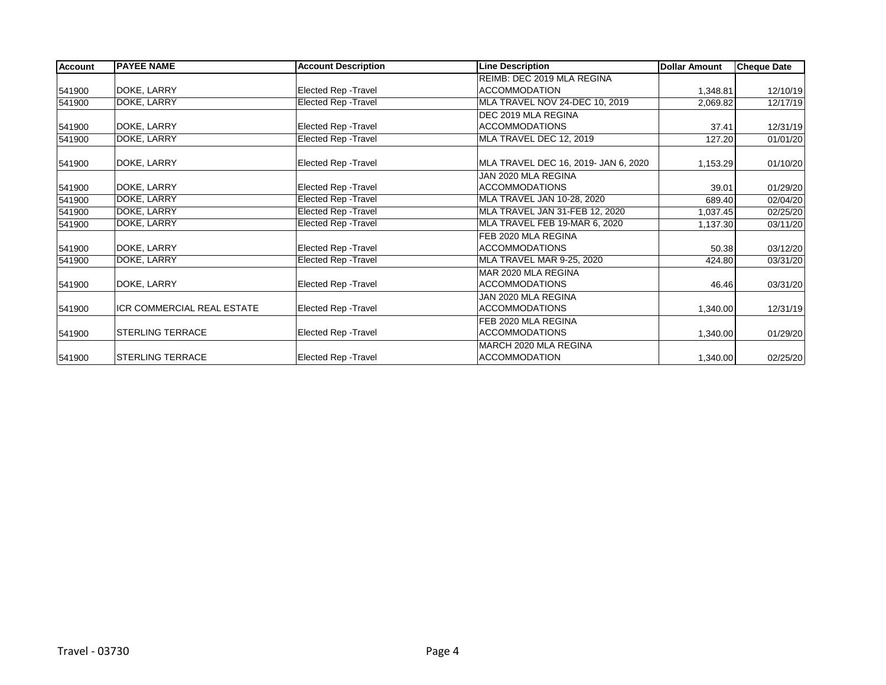| <b>Account</b> | <b>PAYEE NAME</b>          | <b>Account Description</b> | <b>Line Description</b>              | <b>Dollar Amount</b> | <b>Cheque Date</b> |
|----------------|----------------------------|----------------------------|--------------------------------------|----------------------|--------------------|
|                |                            |                            | REIMB: DEC 2019 MLA REGINA           |                      |                    |
| 541900         | DOKE, LARRY                | Elected Rep - Travel       | <b>ACCOMMODATION</b>                 | 1,348.81             | 12/10/19           |
| 541900         | DOKE, LARRY                | Elected Rep - Travel       | MLA TRAVEL NOV 24-DEC 10, 2019       | 2,069.82             | 12/17/19           |
|                |                            |                            | DEC 2019 MLA REGINA                  |                      |                    |
| 541900         | DOKE, LARRY                | Elected Rep - Travel       | <b>ACCOMMODATIONS</b>                | 37.41                | 12/31/19           |
| 541900         | DOKE, LARRY                | Elected Rep - Travel       | MLA TRAVEL DEC 12, 2019              | 127.20               | 01/01/20           |
| 541900         | DOKE, LARRY                | Elected Rep - Travel       | MLA TRAVEL DEC 16, 2019- JAN 6, 2020 | 1,153.29             | 01/10/20           |
|                |                            |                            | JAN 2020 MLA REGINA                  |                      |                    |
| 541900         | DOKE, LARRY                | Elected Rep - Travel       | <b>ACCOMMODATIONS</b>                | 39.01                | 01/29/20           |
| 541900         | DOKE, LARRY                | Elected Rep - Travel       | MLA TRAVEL JAN 10-28, 2020           | 689.40               | 02/04/20           |
| 541900         | DOKE, LARRY                | Elected Rep - Travel       | MLA TRAVEL JAN 31-FEB 12, 2020       | 1,037.45             | 02/25/20           |
| 541900         | DOKE, LARRY                | Elected Rep - Travel       | MLA TRAVEL FEB 19-MAR 6, 2020        | 1,137.30             | 03/11/20           |
|                |                            |                            | FEB 2020 MLA REGINA                  |                      |                    |
| 541900         | DOKE, LARRY                | Elected Rep - Travel       | <b>ACCOMMODATIONS</b>                | 50.38                | 03/12/20           |
| 541900         | DOKE, LARRY                | Elected Rep - Travel       | MLA TRAVEL MAR 9-25, 2020            | 424.80               | 03/31/20           |
|                |                            |                            | MAR 2020 MLA REGINA                  |                      |                    |
| 541900         | DOKE, LARRY                | Elected Rep - Travel       | <b>ACCOMMODATIONS</b>                | 46.46                | 03/31/20           |
|                |                            |                            | JAN 2020 MLA REGINA                  |                      |                    |
| 541900         | ICR COMMERCIAL REAL ESTATE | Elected Rep - Travel       | <b>ACCOMMODATIONS</b>                | 1,340.00             | 12/31/19           |
|                |                            |                            | FEB 2020 MLA REGINA                  |                      |                    |
| 541900         | <b>STERLING TERRACE</b>    | Elected Rep - Travel       | <b>ACCOMMODATIONS</b>                | 1,340.00             | 01/29/20           |
|                |                            |                            | MARCH 2020 MLA REGINA                |                      |                    |
| 541900         | <b>STERLING TERRACE</b>    | Elected Rep - Travel       | <b>ACCOMMODATION</b>                 | 1,340.00             | 02/25/20           |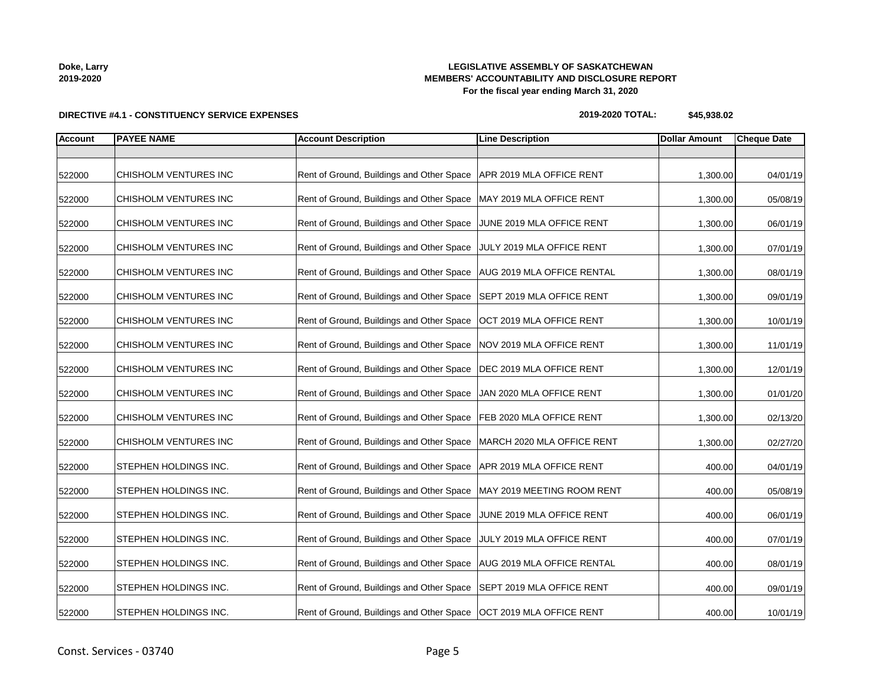| Doke, Larry |  |
|-------------|--|
| 2019-2020   |  |

## **LEGISLATIVE ASSEMBLY OF SASKATCHEWAN MEMBERS' ACCOUNTABILITY AND DISCLOSURE REPORT For the fiscal year ending March 31, 2020**

**2019-2020 TOTAL: \$45,938.02**

| <b>Account</b> | <b>PAYEE NAME</b>     | <b>Account Description</b>                                         | <b>Line Description</b>           | <b>Dollar Amount</b> | <b>Cheque Date</b> |
|----------------|-----------------------|--------------------------------------------------------------------|-----------------------------------|----------------------|--------------------|
|                |                       |                                                                    |                                   |                      |                    |
| 522000         | CHISHOLM VENTURES INC | Rent of Ground, Buildings and Other Space                          | APR 2019 MLA OFFICE RENT          | 1,300.00             | 04/01/19           |
| 522000         | CHISHOLM VENTURES INC | Rent of Ground, Buildings and Other Space                          | MAY 2019 MLA OFFICE RENT          | 1,300.00             | 05/08/19           |
| 522000         | CHISHOLM VENTURES INC | Rent of Ground, Buildings and Other Space                          | JUNE 2019 MLA OFFICE RENT         | 1,300.00             | 06/01/19           |
| 522000         | CHISHOLM VENTURES INC | Rent of Ground, Buildings and Other Space                          | JULY 2019 MLA OFFICE RENT         | 1,300.00             | 07/01/19           |
| 522000         | CHISHOLM VENTURES INC | Rent of Ground, Buildings and Other Space                          | <b>AUG 2019 MLA OFFICE RENTAL</b> | 1,300.00             | 08/01/19           |
| 522000         | CHISHOLM VENTURES INC | Rent of Ground, Buildings and Other Space                          | SEPT 2019 MLA OFFICE RENT         | 1,300.00             | 09/01/19           |
| 522000         | CHISHOLM VENTURES INC | Rent of Ground, Buildings and Other Space                          | OCT 2019 MLA OFFICE RENT          | 1,300.00             | 10/01/19           |
| 522000         | CHISHOLM VENTURES INC | Rent of Ground, Buildings and Other Space                          | NOV 2019 MLA OFFICE RENT          | 1,300.00             | 11/01/19           |
| 522000         | CHISHOLM VENTURES INC | Rent of Ground, Buildings and Other Space                          | DEC 2019 MLA OFFICE RENT          | 1,300.00             | 12/01/19           |
| 522000         | CHISHOLM VENTURES INC | Rent of Ground, Buildings and Other Space                          | JAN 2020 MLA OFFICE RENT          | 1,300.00             | 01/01/20           |
| 522000         | CHISHOLM VENTURES INC | Rent of Ground, Buildings and Other Space                          | FEB 2020 MLA OFFICE RENT          | 1,300.00             | 02/13/20           |
| 522000         | CHISHOLM VENTURES INC | Rent of Ground, Buildings and Other Space                          | MARCH 2020 MLA OFFICE RENT        | 1,300.00             | 02/27/20           |
| 522000         | STEPHEN HOLDINGS INC. | Rent of Ground, Buildings and Other Space                          | APR 2019 MLA OFFICE RENT          | 400.00               | 04/01/19           |
| 522000         | STEPHEN HOLDINGS INC. | Rent of Ground, Buildings and Other Space                          | MAY 2019 MEETING ROOM RENT        | 400.00               | 05/08/19           |
| 522000         | STEPHEN HOLDINGS INC. | Rent of Ground, Buildings and Other Space                          | JUNE 2019 MLA OFFICE RENT         | 400.00               | 06/01/19           |
| 522000         | STEPHEN HOLDINGS INC. | Rent of Ground, Buildings and Other Space                          | JULY 2019 MLA OFFICE RENT         | 400.00               | 07/01/19           |
| 522000         | STEPHEN HOLDINGS INC. | Rent of Ground, Buildings and Other Space                          | AUG 2019 MLA OFFICE RENTAL        | 400.00               | 08/01/19           |
| 522000         | STEPHEN HOLDINGS INC. | Rent of Ground, Buildings and Other Space                          | SEPT 2019 MLA OFFICE RENT         | 400.00               | 09/01/19           |
| 522000         | STEPHEN HOLDINGS INC. | Rent of Ground, Buildings and Other Space OCT 2019 MLA OFFICE RENT |                                   | 400.00               | 10/01/19           |

# **DIRECTIVE #4.1 - CONSTITUENCY SERVICE EXPENSES**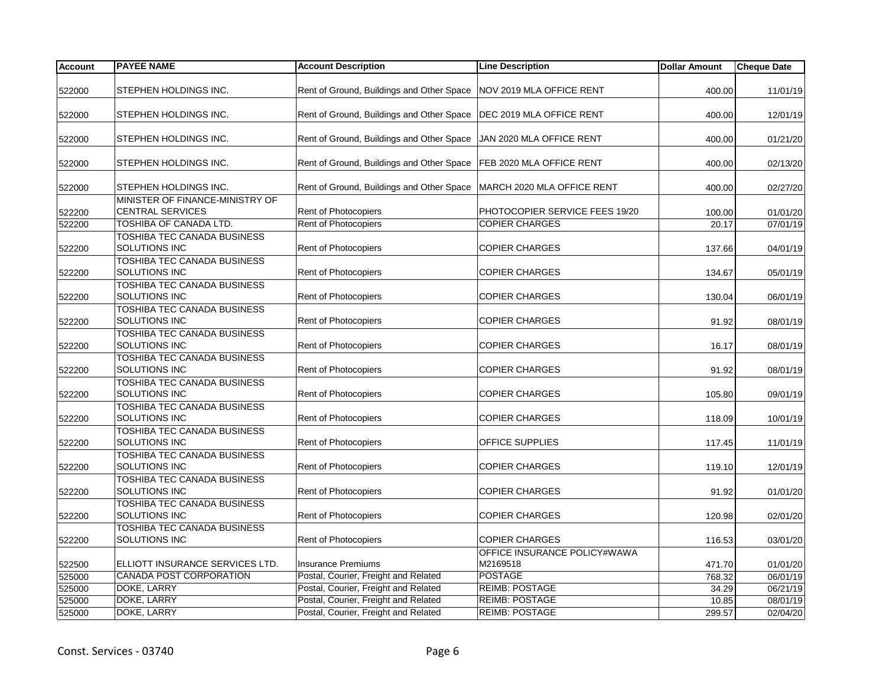| <b>Account</b> | <b>PAYEE NAME</b>                                          | <b>Account Description</b>                                           | <b>Line Description</b>                  | <b>Dollar Amount</b> | Cheque Date |
|----------------|------------------------------------------------------------|----------------------------------------------------------------------|------------------------------------------|----------------------|-------------|
| 522000         | STEPHEN HOLDINGS INC.                                      | Rent of Ground, Buildings and Other Space                            | NOV 2019 MLA OFFICE RENT                 | 400.00               | 11/01/19    |
| 522000         | STEPHEN HOLDINGS INC.                                      | Rent of Ground, Buildings and Other Space   DEC 2019 MLA OFFICE RENT |                                          | 400.00               | 12/01/19    |
| 522000         | STEPHEN HOLDINGS INC.                                      | Rent of Ground, Buildings and Other Space                            | JAN 2020 MLA OFFICE RENT                 | 400.00               | 01/21/20    |
| 522000         | STEPHEN HOLDINGS INC.                                      | Rent of Ground, Buildings and Other Space FEB 2020 MLA OFFICE RENT   |                                          | 400.00               | 02/13/20    |
| 522000         | STEPHEN HOLDINGS INC.                                      | Rent of Ground, Buildings and Other Space                            | MARCH 2020 MLA OFFICE RENT               | 400.00               | 02/27/20    |
| 522200         | MINISTER OF FINANCE-MINISTRY OF<br><b>CENTRAL SERVICES</b> | Rent of Photocopiers                                                 | PHOTOCOPIER SERVICE FEES 19/20           | 100.00               | 01/01/20    |
| 522200         | TOSHIBA OF CANADA LTD.                                     | Rent of Photocopiers                                                 | <b>COPIER CHARGES</b>                    | 20.17                | 07/01/19    |
| 522200         | TOSHIBA TEC CANADA BUSINESS<br><b>SOLUTIONS INC</b>        | Rent of Photocopiers                                                 | <b>COPIER CHARGES</b>                    | 137.66               | 04/01/19    |
| 522200         | TOSHIBA TEC CANADA BUSINESS<br>SOLUTIONS INC               | Rent of Photocopiers                                                 | <b>COPIER CHARGES</b>                    | 134.67               | 05/01/19    |
| 522200         | TOSHIBA TEC CANADA BUSINESS<br>SOLUTIONS INC               | Rent of Photocopiers                                                 | <b>COPIER CHARGES</b>                    | 130.04               | 06/01/19    |
| 522200         | TOSHIBA TEC CANADA BUSINESS<br>SOLUTIONS INC               | Rent of Photocopiers                                                 | <b>COPIER CHARGES</b>                    | 91.92                | 08/01/19    |
| 522200         | TOSHIBA TEC CANADA BUSINESS<br>SOLUTIONS INC               | Rent of Photocopiers                                                 | <b>COPIER CHARGES</b>                    | 16.17                | 08/01/19    |
|                | TOSHIBA TEC CANADA BUSINESS                                |                                                                      |                                          |                      |             |
| 522200         | SOLUTIONS INC                                              | Rent of Photocopiers                                                 | <b>COPIER CHARGES</b>                    | 91.92                | 08/01/19    |
| 522200         | TOSHIBA TEC CANADA BUSINESS<br>SOLUTIONS INC               | <b>Rent of Photocopiers</b>                                          | <b>COPIER CHARGES</b>                    | 105.80               | 09/01/19    |
| 522200         | <b>TOSHIBA TEC CANADA BUSINESS</b><br>SOLUTIONS INC        | Rent of Photocopiers                                                 | <b>COPIER CHARGES</b>                    | 118.09               | 10/01/19    |
| 522200         | <b>TOSHIBA TEC CANADA BUSINESS</b><br>SOLUTIONS INC        | Rent of Photocopiers                                                 | OFFICE SUPPLIES                          | 117.45               | 11/01/19    |
| 522200         | <b>TOSHIBA TEC CANADA BUSINESS</b><br>SOLUTIONS INC        | <b>Rent of Photocopiers</b>                                          | <b>COPIER CHARGES</b>                    | 119.10               | 12/01/19    |
| 522200         | TOSHIBA TEC CANADA BUSINESS<br>SOLUTIONS INC               | <b>Rent of Photocopiers</b>                                          | <b>COPIER CHARGES</b>                    | 91.92                | 01/01/20    |
| 522200         | <b>TOSHIBA TEC CANADA BUSINESS</b><br>SOLUTIONS INC        | <b>Rent of Photocopiers</b>                                          | <b>COPIER CHARGES</b>                    | 120.98               | 02/01/20    |
| 522200         | TOSHIBA TEC CANADA BUSINESS<br>SOLUTIONS INC               | <b>Rent of Photocopiers</b>                                          | <b>COPIER CHARGES</b>                    | 116.53               | 03/01/20    |
| 522500         | ELLIOTT INSURANCE SERVICES LTD.                            | <b>Insurance Premiums</b>                                            | OFFICE INSURANCE POLICY#WAWA<br>M2169518 | 471.70               | 01/01/20    |
| 525000         | <b>CANADA POST CORPORATION</b>                             | Postal, Courier, Freight and Related                                 | <b>POSTAGE</b>                           | 768.32               | 06/01/19    |
| 525000         | DOKE, LARRY                                                | Postal, Courier, Freight and Related                                 | <b>REIMB: POSTAGE</b>                    | 34.29                | 06/21/19    |
| 525000         | <b>DOKE, LARRY</b>                                         | Postal, Courier, Freight and Related                                 | <b>REIMB: POSTAGE</b>                    | 10.85                | 08/01/19    |
| 525000         | <b>DOKE, LARRY</b>                                         | Postal, Courier, Freight and Related                                 | <b>REIMB: POSTAGE</b>                    | 299.57               | 02/04/20    |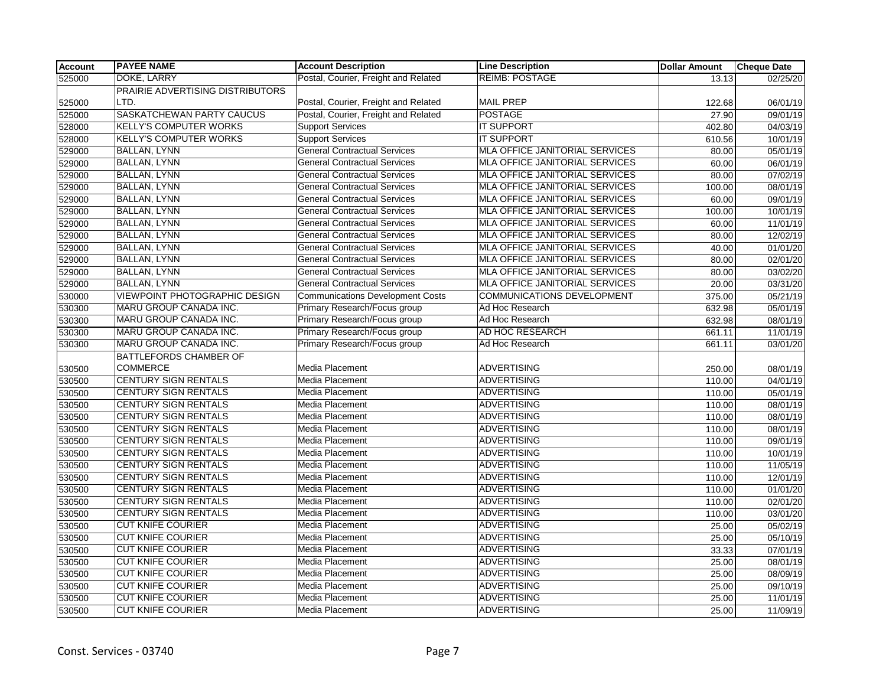| <b>Account</b> | <b>PAYEE NAME</b>                    | <b>Account Description</b>              | <b>Line Description</b>               | <b>Dollar Amount</b> | <b>Cheque Date</b> |
|----------------|--------------------------------------|-----------------------------------------|---------------------------------------|----------------------|--------------------|
| 525000         | DOKE, LARRY                          | Postal, Courier, Freight and Related    | <b>REIMB: POSTAGE</b>                 | 13.13                | 02/25/20           |
|                | PRAIRIE ADVERTISING DISTRIBUTORS     |                                         |                                       |                      |                    |
| 525000         | LTD.                                 | Postal, Courier, Freight and Related    | <b>MAIL PREP</b>                      | 122.68               | 06/01/19           |
| 525000         | SASKATCHEWAN PARTY CAUCUS            | Postal, Courier, Freight and Related    | <b>POSTAGE</b>                        | 27.90                | 09/01/19           |
| 528000         | <b>KELLY'S COMPUTER WORKS</b>        | <b>Support Services</b>                 | <b>IT SUPPORT</b>                     | 402.80               | 04/03/19           |
| 528000         | <b>KELLY'S COMPUTER WORKS</b>        | <b>Support Services</b>                 | <b>IT SUPPORT</b>                     | 610.56               | 10/01/19           |
| 529000         | <b>BALLAN, LYNN</b>                  | <b>General Contractual Services</b>     | MLA OFFICE JANITORIAL SERVICES        | 80.00                | 05/01/19           |
| 529000         | <b>BALLAN, LYNN</b>                  | <b>General Contractual Services</b>     | MLA OFFICE JANITORIAL SERVICES        | 60.00                | 06/01/19           |
| 529000         | <b>BALLAN, LYNN</b>                  | <b>General Contractual Services</b>     | <b>MLA OFFICE JANITORIAL SERVICES</b> | 80.00                | 07/02/19           |
| 529000         | <b>BALLAN, LYNN</b>                  | <b>General Contractual Services</b>     | MLA OFFICE JANITORIAL SERVICES        | 100.00               | 08/01/19           |
| 529000         | <b>BALLAN, LYNN</b>                  | <b>General Contractual Services</b>     | MLA OFFICE JANITORIAL SERVICES        | 60.00                | 09/01/19           |
| 529000         | <b>BALLAN, LYNN</b>                  | <b>General Contractual Services</b>     | MLA OFFICE JANITORIAL SERVICES        | 100.00               | 10/01/19           |
| 529000         | <b>BALLAN, LYNN</b>                  | <b>General Contractual Services</b>     | MLA OFFICE JANITORIAL SERVICES        | 60.00                | 11/01/19           |
| 529000         | <b>BALLAN, LYNN</b>                  | <b>General Contractual Services</b>     | <b>MLA OFFICE JANITORIAL SERVICES</b> | 80.00                | 12/02/19           |
| 529000         | <b>BALLAN, LYNN</b>                  | <b>General Contractual Services</b>     | MLA OFFICE JANITORIAL SERVICES        | 40.00                | 01/01/20           |
| 529000         | <b>BALLAN, LYNN</b>                  | <b>General Contractual Services</b>     | MLA OFFICE JANITORIAL SERVICES        | 80.00                | 02/01/20           |
| 529000         | <b>BALLAN, LYNN</b>                  | <b>General Contractual Services</b>     | MLA OFFICE JANITORIAL SERVICES        | 80.00                | 03/02/20           |
| 529000         | <b>BALLAN, LYNN</b>                  | <b>General Contractual Services</b>     | MLA OFFICE JANITORIAL SERVICES        | 20.00                | 03/31/20           |
| 530000         | <b>VIEWPOINT PHOTOGRAPHIC DESIGN</b> | <b>Communications Development Costs</b> | <b>COMMUNICATIONS DEVELOPMENT</b>     | 375.00               | 05/21/19           |
| 530300         | MARU GROUP CANADA INC.               | Primary Research/Focus group            | Ad Hoc Research                       | 632.98               | 05/01/19           |
| 530300         | MARU GROUP CANADA INC.               | Primary Research/Focus group            | Ad Hoc Research                       | 632.98               | 08/01/19           |
| 530300         | MARU GROUP CANADA INC.               | Primary Research/Focus group            | AD HOC RESEARCH                       | 661.11               | 11/01/19           |
| 530300         | MARU GROUP CANADA INC.               | Primary Research/Focus group            | Ad Hoc Research                       | 661.11               | 03/01/20           |
|                | <b>BATTLEFORDS CHAMBER OF</b>        |                                         |                                       |                      |                    |
| 530500         | <b>COMMERCE</b>                      | Media Placement                         | <b>ADVERTISING</b>                    | 250.00               | 08/01/19           |
| 530500         | <b>CENTURY SIGN RENTALS</b>          | <b>Media Placement</b>                  | <b>ADVERTISING</b>                    | 110.00               | 04/01/19           |
| 530500         | <b>CENTURY SIGN RENTALS</b>          | Media Placement                         | <b>ADVERTISING</b>                    | 110.00               | 05/01/19           |
| 530500         | <b>CENTURY SIGN RENTALS</b>          | Media Placement                         | <b>ADVERTISING</b>                    | 110.00               | 08/01/19           |
| 530500         | <b>CENTURY SIGN RENTALS</b>          | Media Placement                         | <b>ADVERTISING</b>                    | 110.00               | 08/01/19           |
| 530500         | <b>CENTURY SIGN RENTALS</b>          | Media Placement                         | <b>ADVERTISING</b>                    | 110.00               | 08/01/19           |
| 530500         | <b>CENTURY SIGN RENTALS</b>          | <b>Media Placement</b>                  | <b>ADVERTISING</b>                    | 110.00               | 09/01/19           |
| 530500         | <b>CENTURY SIGN RENTALS</b>          | Media Placement                         | <b>ADVERTISING</b>                    | 110.00               | 10/01/19           |
| 530500         | <b>CENTURY SIGN RENTALS</b>          | Media Placement                         | <b>ADVERTISING</b>                    | 110.00               | 11/05/19           |
| 530500         | <b>CENTURY SIGN RENTALS</b>          | Media Placement                         | <b>ADVERTISING</b>                    | 110.00               | 12/01/19           |
| 530500         | <b>CENTURY SIGN RENTALS</b>          | Media Placement                         | <b>ADVERTISING</b>                    | 110.00               | 01/01/20           |
| 530500         | <b>CENTURY SIGN RENTALS</b>          | Media Placement                         | <b>ADVERTISING</b>                    | 110.00               | 02/01/20           |
| 530500         | <b>CENTURY SIGN RENTALS</b>          | <b>Media Placement</b>                  | <b>ADVERTISING</b>                    | 110.00               | 03/01/20           |
| 530500         | <b>CUT KNIFE COURIER</b>             | Media Placement                         | <b>ADVERTISING</b>                    | 25.00                | 05/02/19           |
| 530500         | <b>CUT KNIFE COURIER</b>             | Media Placement                         | <b>ADVERTISING</b>                    | 25.00                | 05/10/19           |
| 530500         | <b>CUT KNIFE COURIER</b>             | Media Placement                         | <b>ADVERTISING</b>                    | 33.33                | 07/01/19           |
| 530500         | <b>CUT KNIFE COURIER</b>             | Media Placement                         | <b>ADVERTISING</b>                    | 25.00                | 08/01/19           |
| 530500         | <b>CUT KNIFE COURIER</b>             | <b>Media Placement</b>                  | <b>ADVERTISING</b>                    | 25.00                | 08/09/19           |
| 530500         | <b>CUT KNIFE COURIER</b>             | Media Placement                         | <b>ADVERTISING</b>                    | 25.00                | 09/10/19           |
| 530500         | <b>CUT KNIFE COURIER</b>             | Media Placement                         | <b>ADVERTISING</b>                    | 25.00                | 11/01/19           |
| 530500         | <b>CUT KNIFE COURIER</b>             | Media Placement                         | <b>ADVERTISING</b>                    | 25.00                | 11/09/19           |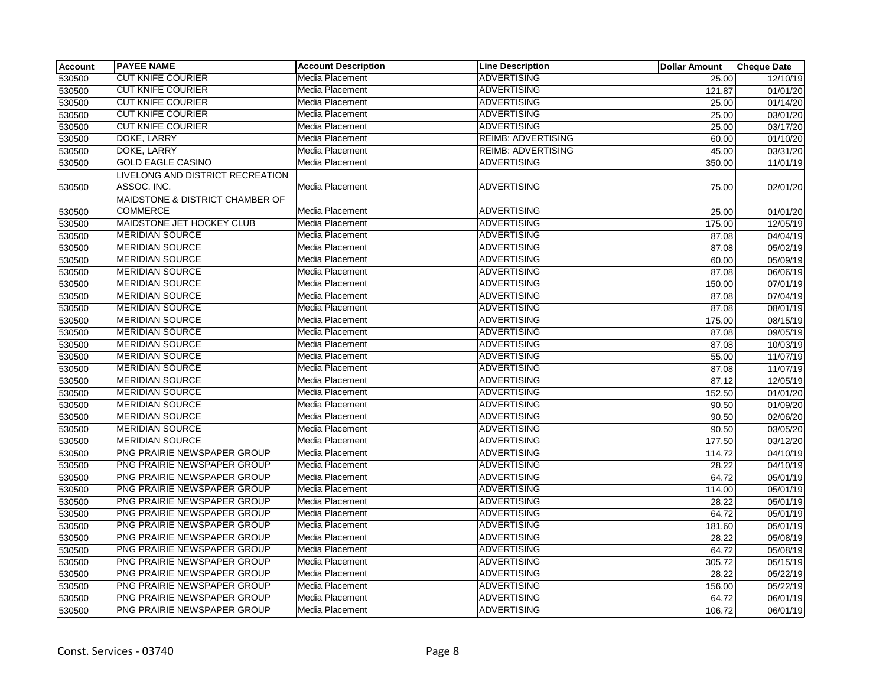| Account | <b>PAYEE NAME</b>                | <b>Account Description</b> | <b>Line Description</b>   | <b>Dollar Amount</b> | <b>Cheque Date</b> |
|---------|----------------------------------|----------------------------|---------------------------|----------------------|--------------------|
| 530500  | <b>CUT KNIFE COURIER</b>         | Media Placement            | <b>ADVERTISING</b>        | 25.00                | 12/10/19           |
| 530500  | <b>CUT KNIFE COURIER</b>         | Media Placement            | <b>ADVERTISING</b>        | 121.87               | 01/01/20           |
| 530500  | <b>CUT KNIFE COURIER</b>         | Media Placement            | <b>ADVERTISING</b>        | 25.00                | 01/14/20           |
| 530500  | <b>CUT KNIFE COURIER</b>         | Media Placement            | <b>ADVERTISING</b>        | 25.00                | 03/01/20           |
| 530500  | <b>CUT KNIFE COURIER</b>         | Media Placement            | <b>ADVERTISING</b>        | 25.00                | 03/17/20           |
| 530500  | DOKE, LARRY                      | Media Placement            | <b>REIMB: ADVERTISING</b> | 60.00                | 01/10/20           |
| 530500  | DOKE, LARRY                      | Media Placement            | <b>REIMB: ADVERTISING</b> | 45.00                | 03/31/20           |
| 530500  | <b>GOLD EAGLE CASINO</b>         | Media Placement            | <b>ADVERTISING</b>        | 350.00               | 11/01/19           |
|         | LIVELONG AND DISTRICT RECREATION |                            |                           |                      |                    |
| 530500  | ASSOC. INC.                      | Media Placement            | <b>ADVERTISING</b>        | 75.00                | 02/01/20           |
|         | MAIDSTONE & DISTRICT CHAMBER OF  |                            |                           |                      |                    |
| 530500  | <b>COMMERCE</b>                  | Media Placement            | <b>ADVERTISING</b>        | 25.00                | 01/01/20           |
| 530500  | MAIDSTONE JET HOCKEY CLUB        | Media Placement            | <b>ADVERTISING</b>        | 175.00               | 12/05/19           |
| 530500  | <b>MERIDIAN SOURCE</b>           | Media Placement            | <b>ADVERTISING</b>        | 87.08                | 04/04/19           |
| 530500  | <b>MERIDIAN SOURCE</b>           | Media Placement            | <b>ADVERTISING</b>        | 87.08                | 05/02/19           |
| 530500  | <b>MERIDIAN SOURCE</b>           | Media Placement            | <b>ADVERTISING</b>        | 60.00                | 05/09/19           |
| 530500  | <b>MERIDIAN SOURCE</b>           | Media Placement            | <b>ADVERTISING</b>        | 87.08                | 06/06/19           |
| 530500  | <b>MERIDIAN SOURCE</b>           | Media Placement            | <b>ADVERTISING</b>        | 150.00               | 07/01/19           |
| 530500  | <b>MERIDIAN SOURCE</b>           | Media Placement            | <b>ADVERTISING</b>        | 87.08                | 07/04/19           |
| 530500  | <b>MERIDIAN SOURCE</b>           | Media Placement            | <b>ADVERTISING</b>        | 87.08                | 08/01/19           |
| 530500  | <b>MERIDIAN SOURCE</b>           | Media Placement            | <b>ADVERTISING</b>        | 175.00               | 08/15/19           |
| 530500  | <b>MERIDIAN SOURCE</b>           | Media Placement            | <b>ADVERTISING</b>        | 87.08                | 09/05/19           |
| 530500  | <b>MERIDIAN SOURCE</b>           | Media Placement            | <b>ADVERTISING</b>        | 87.08                | 10/03/19           |
| 530500  | <b>MERIDIAN SOURCE</b>           | Media Placement            | <b>ADVERTISING</b>        | 55.00                | 11/07/19           |
| 530500  | <b>MERIDIAN SOURCE</b>           | Media Placement            | <b>ADVERTISING</b>        | 87.08                | 11/07/19           |
| 530500  | <b>MERIDIAN SOURCE</b>           | Media Placement            | <b>ADVERTISING</b>        | 87.12                | 12/05/19           |
| 530500  | <b>IMERIDIAN SOURCE</b>          | Media Placement            | <b>ADVERTISING</b>        | 152.50               | 01/01/20           |
| 530500  | <b>MERIDIAN SOURCE</b>           | Media Placement            | <b>ADVERTISING</b>        | 90.50                | 01/09/20           |
| 530500  | <b>MERIDIAN SOURCE</b>           | Media Placement            | <b>ADVERTISING</b>        | 90.50                | 02/06/20           |
| 530500  | <b>MERIDIAN SOURCE</b>           | Media Placement            | <b>ADVERTISING</b>        | 90.50                | 03/05/20           |
| 530500  | <b>MERIDIAN SOURCE</b>           | Media Placement            | <b>ADVERTISING</b>        | 177.50               | 03/12/20           |
| 530500  | PNG PRAIRIE NEWSPAPER GROUP      | Media Placement            | <b>ADVERTISING</b>        | 114.72               | 04/10/19           |
| 530500  | PNG PRAIRIE NEWSPAPER GROUP      | Media Placement            | <b>ADVERTISING</b>        | 28.22                | 04/10/19           |
| 530500  | PNG PRAIRIE NEWSPAPER GROUP      | Media Placement            | <b>ADVERTISING</b>        | 64.72                | 05/01/19           |
| 530500  | PNG PRAIRIE NEWSPAPER GROUP      | Media Placement            | <b>ADVERTISING</b>        | 114.00               | 05/01/19           |
| 530500  | PNG PRAIRIE NEWSPAPER GROUP      | Media Placement            | <b>ADVERTISING</b>        | 28.22                | 05/01/19           |
| 530500  | PNG PRAIRIE NEWSPAPER GROUP      | Media Placement            | <b>ADVERTISING</b>        | 64.72                | 05/01/19           |
| 530500  | PNG PRAIRIE NEWSPAPER GROUP      | Media Placement            | <b>ADVERTISING</b>        | 181.60               | 05/01/19           |
| 530500  | PNG PRAIRIE NEWSPAPER GROUP      | Media Placement            | <b>ADVERTISING</b>        | 28.22                | 05/08/19           |
| 530500  | PNG PRAIRIE NEWSPAPER GROUP      | Media Placement            | <b>ADVERTISING</b>        | 64.72                | 05/08/19           |
| 530500  | PNG PRAIRIE NEWSPAPER GROUP      | Media Placement            | <b>ADVERTISING</b>        | 305.72               | 05/15/19           |
| 530500  | PNG PRAIRIE NEWSPAPER GROUP      | Media Placement            | <b>ADVERTISING</b>        | 28.22                | 05/22/19           |
| 530500  | PNG PRAIRIE NEWSPAPER GROUP      | Media Placement            | <b>ADVERTISING</b>        | 156.00               | 05/22/19           |
| 530500  | PNG PRAIRIE NEWSPAPER GROUP      | Media Placement            | <b>ADVERTISING</b>        | 64.72                | 06/01/19           |
| 530500  | PNG PRAIRIE NEWSPAPER GROUP      | Media Placement            | <b>ADVERTISING</b>        | 106.72               | 06/01/19           |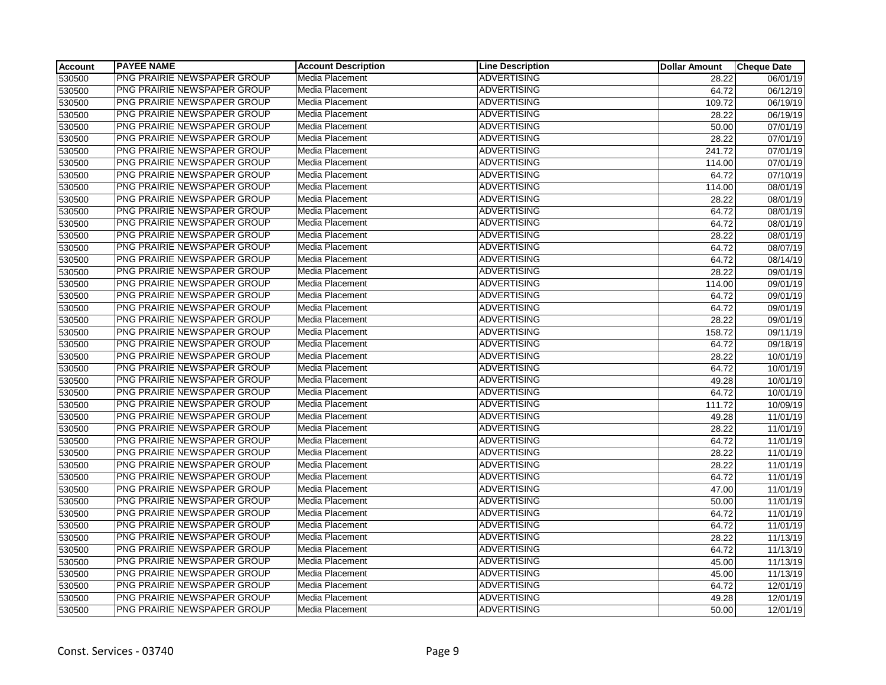| <b>Account</b> | <b>PAYEE NAME</b>           | <b>Account Description</b> | <b>Line Description</b> | <b>Dollar Amount</b> | <b>Cheque Date</b> |
|----------------|-----------------------------|----------------------------|-------------------------|----------------------|--------------------|
| 530500         | PNG PRAIRIE NEWSPAPER GROUP | Media Placement            | <b>ADVERTISING</b>      | 28.22                | 06/01/19           |
| 530500         | PNG PRAIRIE NEWSPAPER GROUP | Media Placement            | <b>ADVERTISING</b>      | 64.72                | 06/12/19           |
| 530500         | PNG PRAIRIE NEWSPAPER GROUP | Media Placement            | <b>ADVERTISING</b>      | 109.72               | 06/19/19           |
| 530500         | PNG PRAIRIE NEWSPAPER GROUP | Media Placement            | <b>ADVERTISING</b>      | 28.22                | 06/19/19           |
| 530500         | PNG PRAIRIE NEWSPAPER GROUP | Media Placement            | <b>ADVERTISING</b>      | 50.00                | 07/01/19           |
| 530500         | PNG PRAIRIE NEWSPAPER GROUP | Media Placement            | <b>ADVERTISING</b>      | 28.22                | 07/01/19           |
| 530500         | PNG PRAIRIE NEWSPAPER GROUP | Media Placement            | <b>ADVERTISING</b>      | 241.72               | 07/01/19           |
| 530500         | PNG PRAIRIE NEWSPAPER GROUP | Media Placement            | <b>ADVERTISING</b>      | 114.00               | 07/01/19           |
| 530500         | PNG PRAIRIE NEWSPAPER GROUP | Media Placement            | <b>ADVERTISING</b>      | 64.72                | 07/10/19           |
| 530500         | PNG PRAIRIE NEWSPAPER GROUP | Media Placement            | <b>ADVERTISING</b>      | 114.00               | 08/01/19           |
| 530500         | PNG PRAIRIE NEWSPAPER GROUP | Media Placement            | <b>ADVERTISING</b>      | 28.22                | 08/01/19           |
| 530500         | PNG PRAIRIE NEWSPAPER GROUP | Media Placement            | <b>ADVERTISING</b>      | 64.72                | 08/01/19           |
| 530500         | PNG PRAIRIE NEWSPAPER GROUP | Media Placement            | <b>ADVERTISING</b>      | 64.72                | 08/01/19           |
| 530500         | PNG PRAIRIE NEWSPAPER GROUP | Media Placement            | <b>ADVERTISING</b>      | 28.22                | 08/01/19           |
| 530500         | PNG PRAIRIE NEWSPAPER GROUP | Media Placement            | <b>ADVERTISING</b>      | 64.72                | 08/07/19           |
| 530500         | PNG PRAIRIE NEWSPAPER GROUP | Media Placement            | <b>ADVERTISING</b>      | 64.72                | 08/14/19           |
| 530500         | PNG PRAIRIE NEWSPAPER GROUP | Media Placement            | <b>ADVERTISING</b>      | 28.22                | 09/01/19           |
| 530500         | PNG PRAIRIE NEWSPAPER GROUP | Media Placement            | <b>ADVERTISING</b>      | 114.00               | 09/01/19           |
| 530500         | PNG PRAIRIE NEWSPAPER GROUP | Media Placement            | <b>ADVERTISING</b>      | 64.72                | 09/01/19           |
| 530500         | PNG PRAIRIE NEWSPAPER GROUP | Media Placement            | <b>ADVERTISING</b>      | 64.72                | 09/01/19           |
| 530500         | PNG PRAIRIE NEWSPAPER GROUP | Media Placement            | <b>ADVERTISING</b>      | 28.22                | 09/01/19           |
| 530500         | PNG PRAIRIE NEWSPAPER GROUP | Media Placement            | <b>ADVERTISING</b>      | 158.72               | 09/11/19           |
| 530500         | PNG PRAIRIE NEWSPAPER GROUP | Media Placement            | <b>ADVERTISING</b>      | 64.72                | 09/18/19           |
| 530500         | PNG PRAIRIE NEWSPAPER GROUP | Media Placement            | <b>ADVERTISING</b>      | 28.22                | 10/01/19           |
| 530500         | PNG PRAIRIE NEWSPAPER GROUP | Media Placement            | <b>ADVERTISING</b>      | 64.72                | 10/01/19           |
| 530500         | PNG PRAIRIE NEWSPAPER GROUP | Media Placement            | <b>ADVERTISING</b>      | 49.28                | 10/01/19           |
| 530500         | PNG PRAIRIE NEWSPAPER GROUP | Media Placement            | <b>ADVERTISING</b>      | 64.72                | 10/01/19           |
| 530500         | PNG PRAIRIE NEWSPAPER GROUP | Media Placement            | <b>ADVERTISING</b>      | 111.72               | 10/09/19           |
| 530500         | PNG PRAIRIE NEWSPAPER GROUP | Media Placement            | <b>ADVERTISING</b>      | 49.28                | 11/01/19           |
| 530500         | PNG PRAIRIE NEWSPAPER GROUP | Media Placement            | <b>ADVERTISING</b>      | 28.22                | 11/01/19           |
| 530500         | PNG PRAIRIE NEWSPAPER GROUP | Media Placement            | <b>ADVERTISING</b>      | 64.72                | 11/01/19           |
| 530500         | PNG PRAIRIE NEWSPAPER GROUP | Media Placement            | <b>ADVERTISING</b>      | 28.22                | 11/01/19           |
| 530500         | PNG PRAIRIE NEWSPAPER GROUP | Media Placement            | <b>ADVERTISING</b>      | 28.22                | 11/01/19           |
| 530500         | PNG PRAIRIE NEWSPAPER GROUP | Media Placement            | <b>ADVERTISING</b>      | 64.72                | 11/01/19           |
| 530500         | PNG PRAIRIE NEWSPAPER GROUP | Media Placement            | <b>ADVERTISING</b>      | 47.00                | 11/01/19           |
| 530500         | PNG PRAIRIE NEWSPAPER GROUP | Media Placement            | <b>ADVERTISING</b>      | 50.00                | 11/01/19           |
| 530500         | PNG PRAIRIE NEWSPAPER GROUP | Media Placement            | <b>ADVERTISING</b>      | 64.72                | 11/01/19           |
| 530500         | PNG PRAIRIE NEWSPAPER GROUP | Media Placement            | <b>ADVERTISING</b>      | 64.72                | 11/01/19           |
| 530500         | PNG PRAIRIE NEWSPAPER GROUP | Media Placement            | <b>ADVERTISING</b>      | 28.22                | 11/13/19           |
| 530500         | PNG PRAIRIE NEWSPAPER GROUP | Media Placement            | <b>ADVERTISING</b>      | 64.72                | 11/13/19           |
| 530500         | PNG PRAIRIE NEWSPAPER GROUP | Media Placement            | <b>ADVERTISING</b>      | 45.00                | 11/13/19           |
| 530500         | PNG PRAIRIE NEWSPAPER GROUP | Media Placement            | <b>ADVERTISING</b>      | 45.00                | 11/13/19           |
| 530500         | PNG PRAIRIE NEWSPAPER GROUP | Media Placement            | <b>ADVERTISING</b>      | 64.72                | 12/01/19           |
| 530500         | PNG PRAIRIE NEWSPAPER GROUP | Media Placement            | <b>ADVERTISING</b>      | 49.28                | 12/01/19           |
| 530500         | PNG PRAIRIE NEWSPAPER GROUP | Media Placement            | <b>ADVERTISING</b>      | 50.00                | 12/01/19           |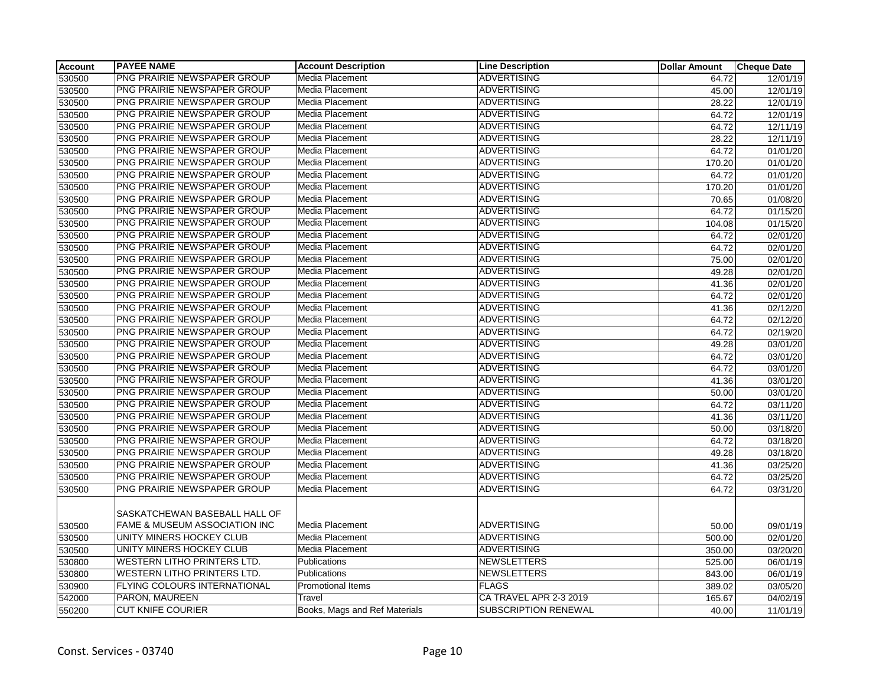| <b>Account</b> | <b>PAYEE NAME</b>                                              | <b>Account Description</b>    | <b>Line Description</b> | <b>Dollar Amount</b> | <b>Cheque Date</b> |
|----------------|----------------------------------------------------------------|-------------------------------|-------------------------|----------------------|--------------------|
| 530500         | <b>PNG PRAIRIE NEWSPAPER GROUP</b>                             | Media Placement               | <b>ADVERTISING</b>      | 64.72                | 12/01/19           |
| 530500         | PNG PRAIRIE NEWSPAPER GROUP                                    | Media Placement               | <b>ADVERTISING</b>      | 45.00                | 12/01/19           |
| 530500         | PNG PRAIRIE NEWSPAPER GROUP                                    | Media Placement               | <b>ADVERTISING</b>      | 28.22                | 12/01/19           |
| 530500         | PNG PRAIRIE NEWSPAPER GROUP                                    | Media Placement               | <b>ADVERTISING</b>      | 64.72                | 12/01/19           |
| 530500         | PNG PRAIRIE NEWSPAPER GROUP                                    | Media Placement               | <b>ADVERTISING</b>      | 64.72                | 12/11/19           |
| 530500         | PNG PRAIRIE NEWSPAPER GROUP                                    | Media Placement               | <b>ADVERTISING</b>      | 28.22                | 12/11/19           |
| 530500         | PNG PRAIRIE NEWSPAPER GROUP                                    | Media Placement               | <b>ADVERTISING</b>      | 64.72                | 01/01/20           |
| 530500         | PNG PRAIRIE NEWSPAPER GROUP                                    | Media Placement               | <b>ADVERTISING</b>      | 170.20               | 01/01/20           |
| 530500         | PNG PRAIRIE NEWSPAPER GROUP                                    | Media Placement               | <b>ADVERTISING</b>      | 64.72                | 01/01/20           |
| 530500         | PNG PRAIRIE NEWSPAPER GROUP                                    | Media Placement               | <b>ADVERTISING</b>      | 170.20               | 01/01/20           |
| 530500         | PNG PRAIRIE NEWSPAPER GROUP                                    | Media Placement               | <b>ADVERTISING</b>      | 70.65                | 01/08/20           |
| 530500         | PNG PRAIRIE NEWSPAPER GROUP                                    | Media Placement               | <b>ADVERTISING</b>      | 64.72                | 01/15/20           |
| 530500         | PNG PRAIRIE NEWSPAPER GROUP                                    | Media Placement               | <b>ADVERTISING</b>      | 104.08               | 01/15/20           |
| 530500         | PNG PRAIRIE NEWSPAPER GROUP                                    | Media Placement               | <b>ADVERTISING</b>      | 64.72                | 02/01/20           |
| 530500         | PNG PRAIRIE NEWSPAPER GROUP                                    | Media Placement               | <b>ADVERTISING</b>      | 64.72                | 02/01/20           |
| 530500         | PNG PRAIRIE NEWSPAPER GROUP                                    | Media Placement               | <b>ADVERTISING</b>      | 75.00                | 02/01/20           |
| 530500         | PNG PRAIRIE NEWSPAPER GROUP                                    | Media Placement               | <b>ADVERTISING</b>      | 49.28                | 02/01/20           |
| 530500         | PNG PRAIRIE NEWSPAPER GROUP                                    | Media Placement               | <b>ADVERTISING</b>      | 41.36                | 02/01/20           |
| 530500         | PNG PRAIRIE NEWSPAPER GROUP                                    | Media Placement               | <b>ADVERTISING</b>      | 64.72                | 02/01/20           |
| 530500         | PNG PRAIRIE NEWSPAPER GROUP                                    | Media Placement               | <b>ADVERTISING</b>      | 41.36                | 02/12/20           |
| 530500         | PNG PRAIRIE NEWSPAPER GROUP                                    | Media Placement               | <b>ADVERTISING</b>      | 64.72                | 02/12/20           |
| 530500         | PNG PRAIRIE NEWSPAPER GROUP                                    | Media Placement               | <b>ADVERTISING</b>      | 64.72                | 02/19/20           |
| 530500         | PNG PRAIRIE NEWSPAPER GROUP                                    | Media Placement               | <b>ADVERTISING</b>      | 49.28                | 03/01/20           |
| 530500         | PNG PRAIRIE NEWSPAPER GROUP                                    | Media Placement               | <b>ADVERTISING</b>      | 64.72                | 03/01/20           |
| 530500         | PNG PRAIRIE NEWSPAPER GROUP                                    | Media Placement               | <b>ADVERTISING</b>      | 64.72                | 03/01/20           |
| 530500         | PNG PRAIRIE NEWSPAPER GROUP                                    | Media Placement               | <b>ADVERTISING</b>      | 41.36                | 03/01/20           |
| 530500         | PNG PRAIRIE NEWSPAPER GROUP                                    | Media Placement               | <b>ADVERTISING</b>      | 50.00                | 03/01/20           |
| 530500         | PNG PRAIRIE NEWSPAPER GROUP                                    | Media Placement               | <b>ADVERTISING</b>      | 64.72                | 03/11/20           |
| 530500         | PNG PRAIRIE NEWSPAPER GROUP                                    | <b>Media Placement</b>        | <b>ADVERTISING</b>      | 41.36                | 03/11/20           |
| 530500         | PNG PRAIRIE NEWSPAPER GROUP                                    | Media Placement               | <b>ADVERTISING</b>      | 50.00                | 03/18/20           |
| 530500         | PNG PRAIRIE NEWSPAPER GROUP                                    | Media Placement               | <b>ADVERTISING</b>      | 64.72                | 03/18/20           |
| 530500         | PNG PRAIRIE NEWSPAPER GROUP                                    | Media Placement               | <b>ADVERTISING</b>      | 49.28                | 03/18/20           |
| 530500         | PNG PRAIRIE NEWSPAPER GROUP                                    | Media Placement               | <b>ADVERTISING</b>      | 41.36                | 03/25/20           |
| 530500         | PNG PRAIRIE NEWSPAPER GROUP                                    | Media Placement               | <b>ADVERTISING</b>      | 64.72                | 03/25/20           |
| 530500         | PNG PRAIRIE NEWSPAPER GROUP                                    | Media Placement               | <b>ADVERTISING</b>      | 64.72                | 03/31/20           |
| 530500         | SASKATCHEWAN BASEBALL HALL OF<br>FAME & MUSEUM ASSOCIATION INC | Media Placement               | <b>ADVERTISING</b>      | 50.00                | 09/01/19           |
| 530500         | UNITY MINERS HOCKEY CLUB                                       | Media Placement               | <b>ADVERTISING</b>      | 500.00               | 02/01/20           |
| 530500         | UNITY MINERS HOCKEY CLUB                                       | Media Placement               | <b>ADVERTISING</b>      | 350.00               | 03/20/20           |
| 530800         | <b>WESTERN LITHO PRINTERS LTD.</b>                             | Publications                  | <b>NEWSLETTERS</b>      | 525.00               | 06/01/19           |
| 530800         | <b>WESTERN LITHO PRINTERS LTD.</b>                             | Publications                  | <b>NEWSLETTERS</b>      | 843.00               | 06/01/19           |
| 530900         | FLYING COLOURS INTERNATIONAL                                   | <b>Promotional Items</b>      | <b>FLAGS</b>            | 389.02               | 03/05/20           |
| 542000         | PARON, MAUREEN                                                 | Travel                        | CA TRAVEL APR 2-3 2019  | 165.67               | 04/02/19           |
| 550200         | <b>CUT KNIFE COURIER</b>                                       | Books, Mags and Ref Materials | SUBSCRIPTION RENEWAL    | 40.00                | 11/01/19           |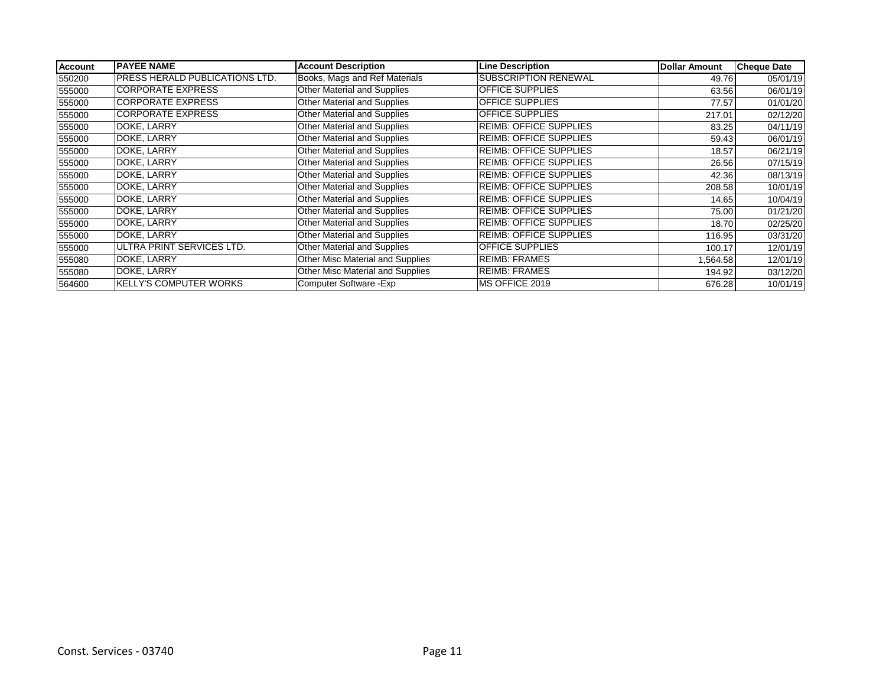| <b>Account</b> | <b>PAYEE NAME</b>                     | <b>Account Description</b>         | <b>Line Description</b>       | <b>Dollar Amount</b> | <b>Cheque Date</b> |
|----------------|---------------------------------------|------------------------------------|-------------------------------|----------------------|--------------------|
| 550200         | <b>PRESS HERALD PUBLICATIONS LTD.</b> | Books, Mags and Ref Materials      | <b>SUBSCRIPTION RENEWAL</b>   | 49.76                | 05/01/19           |
| 555000         | <b>CORPORATE EXPRESS</b>              | Other Material and Supplies        | <b>OFFICE SUPPLIES</b>        | 63.56                | 06/01/19           |
| 555000         | <b>CORPORATE EXPRESS</b>              | <b>Other Material and Supplies</b> | <b>OFFICE SUPPLIES</b>        | 77.57                | 01/01/20           |
| 555000         | <b>CORPORATE EXPRESS</b>              | Other Material and Supplies        | <b>OFFICE SUPPLIES</b>        | 217.01               | 02/12/20           |
| 555000         | DOKE, LARRY                           | Other Material and Supplies        | <b>REIMB: OFFICE SUPPLIES</b> | 83.25                | 04/11/19           |
| 555000         | DOKE, LARRY                           | Other Material and Supplies        | <b>REIMB: OFFICE SUPPLIES</b> | 59.43                | 06/01/19           |
| 555000         | DOKE, LARRY                           | <b>Other Material and Supplies</b> | <b>REIMB: OFFICE SUPPLIES</b> | 18.57                | 06/21/19           |
| 555000         | DOKE, LARRY                           | Other Material and Supplies        | <b>REIMB: OFFICE SUPPLIES</b> | 26.56                | 07/15/19           |
| 555000         | DOKE, LARRY                           | Other Material and Supplies        | <b>REIMB: OFFICE SUPPLIES</b> | 42.36                | 08/13/19           |
| 555000         | DOKE, LARRY                           | Other Material and Supplies        | <b>REIMB: OFFICE SUPPLIES</b> | 208.58               | 10/01/19           |
| 555000         | DOKE, LARRY                           | Other Material and Supplies        | <b>REIMB: OFFICE SUPPLIES</b> | 14.65                | 10/04/19           |
| 555000         | DOKE, LARRY                           | <b>Other Material and Supplies</b> | <b>REIMB: OFFICE SUPPLIES</b> | 75.00                | 01/21/20           |
| 555000         | DOKE, LARRY                           | Other Material and Supplies        | <b>REIMB: OFFICE SUPPLIES</b> | 18.70                | 02/25/20           |
| 555000         | DOKE, LARRY                           | Other Material and Supplies        | <b>REIMB: OFFICE SUPPLIES</b> | 116.95               | 03/31/20           |
| 555000         | IULTRA PRINT SERVICES LTD.            | Other Material and Supplies        | <b>OFFICE SUPPLIES</b>        | 100.17               | 12/01/19           |
| 555080         | DOKE, LARRY                           | Other Misc Material and Supplies   | <b>REIMB: FRAMES</b>          | 564.58               | 12/01/19           |
| 555080         | DOKE, LARRY                           | Other Misc Material and Supplies   | <b>REIMB: FRAMES</b>          | 194.92               | 03/12/20           |
| 564600         | <b>KELLY'S COMPUTER WORKS</b>         | Computer Software - Exp            | <b>IMS OFFICE 2019</b>        | 676.28               | 10/01/19           |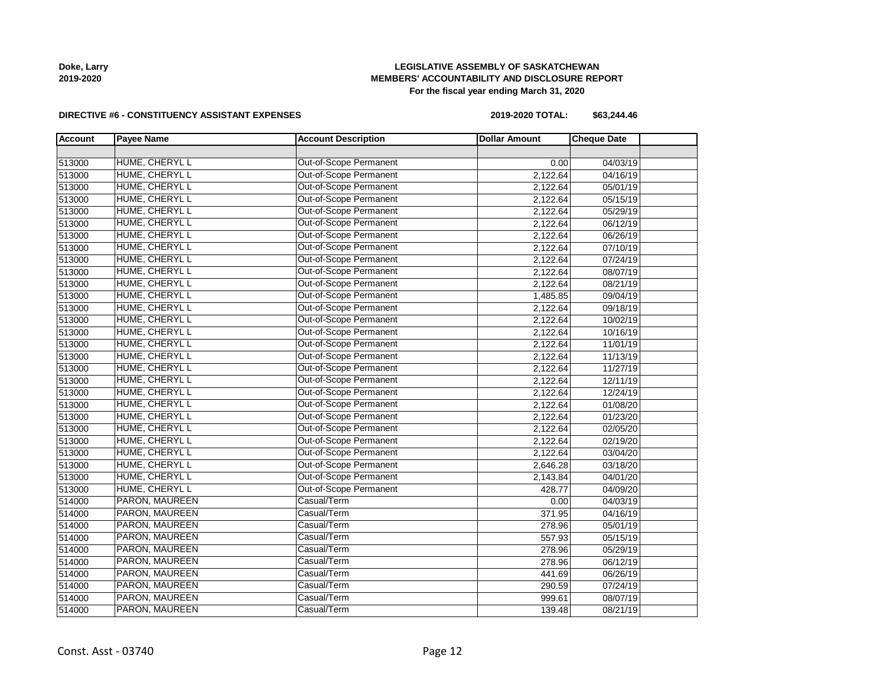| Doke, Larry |  |  |  |
|-------------|--|--|--|
| 2019-2020   |  |  |  |

# **LEGISLATIVE ASSEMBLY OF SASKATCHEWAN MEMBERS' ACCOUNTABILITY AND DISCLOSURE REPORT For the fiscal year ending March 31, 2020**

#### **DIRECTIVE #6 - CONSTITUENCY ASSISTANT EXPENSES**

**2019-2020 TOTAL: \$63,244.46**

| <b>Account</b> | <b>Payee Name</b> | <b>Account Description</b> | <b>Dollar Amount</b> | <b>Cheque Date</b> |  |
|----------------|-------------------|----------------------------|----------------------|--------------------|--|
|                |                   |                            |                      |                    |  |
| 513000         | HUME, CHERYL L    | Out-of-Scope Permanent     | 0.00                 | 04/03/19           |  |
| 513000         | HUME, CHERYL L    | Out-of-Scope Permanent     | 2,122.64             | 04/16/19           |  |
| 513000         | HUME, CHERYL L    | Out-of-Scope Permanent     | 2,122.64             | 05/01/19           |  |
| 513000         | HUME, CHERYL L    | Out-of-Scope Permanent     | 2,122.64             | 05/15/19           |  |
| 513000         | HUME, CHERYL L    | Out-of-Scope Permanent     | 2,122.64             | 05/29/19           |  |
| 513000         | HUME, CHERYL L    | Out-of-Scope Permanent     | 2,122.64             | 06/12/19           |  |
| 513000         | HUME, CHERYL L    | Out-of-Scope Permanent     | 2,122.64             | 06/26/19           |  |
| 513000         | HUME, CHERYL L    | Out-of-Scope Permanent     | 2,122.64             | 07/10/19           |  |
| 513000         | HUME, CHERYL L    | Out-of-Scope Permanent     | 2,122.64             | 07/24/19           |  |
| 513000         | HUME, CHERYL L    | Out-of-Scope Permanent     | 2,122.64             | 08/07/19           |  |
| 513000         | HUME, CHERYL L    | Out-of-Scope Permanent     | 2,122.64             | 08/21/19           |  |
| 513000         | HUME, CHERYL L    | Out-of-Scope Permanent     | 1,485.85             | 09/04/19           |  |
| 513000         | HUME, CHERYL L    | Out-of-Scope Permanent     | 2,122.64             | 09/18/19           |  |
| 513000         | HUME, CHERYL L    | Out-of-Scope Permanent     | 2,122.64             | 10/02/19           |  |
| 513000         | HUME, CHERYL L    | Out-of-Scope Permanent     | 2,122.64             | 10/16/19           |  |
| 513000         | HUME, CHERYL L    | Out-of-Scope Permanent     | 2,122.64             | 11/01/19           |  |
| 513000         | HUME, CHERYL L    | Out-of-Scope Permanent     | 2,122.64             | 11/13/19           |  |
| 513000         | HUME, CHERYL L    | Out-of-Scope Permanent     | 2,122.64             | 11/27/19           |  |
| 513000         | HUME, CHERYL L    | Out-of-Scope Permanent     | 2,122.64             | 12/11/19           |  |
| 513000         | HUME, CHERYL L    | Out-of-Scope Permanent     | 2,122.64             | 12/24/19           |  |
| 513000         | HUME, CHERYL L    | Out-of-Scope Permanent     | 2,122.64             | 01/08/20           |  |
| 513000         | HUME, CHERYL L    | Out-of-Scope Permanent     | 2,122.64             | 01/23/20           |  |
| 513000         | HUME, CHERYL L    | Out-of-Scope Permanent     | 2,122.64             | 02/05/20           |  |
| 513000         | HUME, CHERYL L    | Out-of-Scope Permanent     | 2,122.64             | 02/19/20           |  |
| 513000         | HUME, CHERYL L    | Out-of-Scope Permanent     | 2,122.64             | 03/04/20           |  |
| 513000         | HUME, CHERYL L    | Out-of-Scope Permanent     | 2,646.28             | 03/18/20           |  |
| 513000         | HUME, CHERYL L    | Out-of-Scope Permanent     | 2,143.84             | 04/01/20           |  |
| 513000         | HUME, CHERYL L    | Out-of-Scope Permanent     | 428.77               | 04/09/20           |  |
| 514000         | PARON, MAUREEN    | Casual/Term                | 0.00                 | 04/03/19           |  |
| 514000         | PARON, MAUREEN    | Casual/Term                | 371.95               | 04/16/19           |  |
| 514000         | PARON, MAUREEN    | Casual/Term                | 278.96               | 05/01/19           |  |
| 514000         | PARON, MAUREEN    | Casual/Term                | 557.93               | 05/15/19           |  |
| 514000         | PARON, MAUREEN    | Casual/Term                | 278.96               | 05/29/19           |  |
| 514000         | PARON, MAUREEN    | Casual/Term                | 278.96               | 06/12/19           |  |
| 514000         | PARON, MAUREEN    | Casual/Term                | 441.69               | 06/26/19           |  |
| 514000         | PARON, MAUREEN    | Casual/Term                | 290.59               | 07/24/19           |  |
| 514000         | PARON, MAUREEN    | Casual/Term                | 999.61               | 08/07/19           |  |
| 514000         | PARON, MAUREEN    | Casual/Term                | 139.48               | 08/21/19           |  |